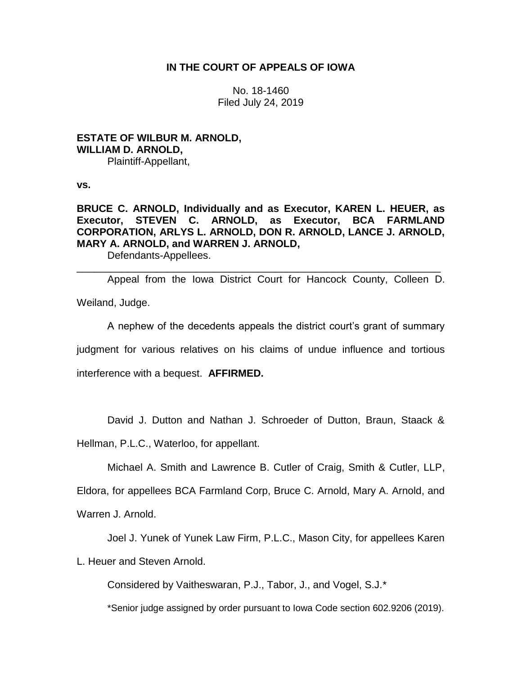# **IN THE COURT OF APPEALS OF IOWA**

No. 18-1460 Filed July 24, 2019

**ESTATE OF WILBUR M. ARNOLD, WILLIAM D. ARNOLD,** Plaintiff-Appellant,

**vs.**

# **BRUCE C. ARNOLD, Individually and as Executor, KAREN L. HEUER, as Executor, STEVEN C. ARNOLD, as Executor, BCA FARMLAND CORPORATION, ARLYS L. ARNOLD, DON R. ARNOLD, LANCE J. ARNOLD, MARY A. ARNOLD, and WARREN J. ARNOLD,**

Defendants-Appellees.

Appeal from the Iowa District Court for Hancock County, Colleen D. Weiland, Judge.

\_\_\_\_\_\_\_\_\_\_\_\_\_\_\_\_\_\_\_\_\_\_\_\_\_\_\_\_\_\_\_\_\_\_\_\_\_\_\_\_\_\_\_\_\_\_\_\_\_\_\_\_\_\_\_\_\_\_\_\_\_\_\_\_

A nephew of the decedents appeals the district court's grant of summary judgment for various relatives on his claims of undue influence and tortious interference with a bequest. **AFFIRMED.**

David J. Dutton and Nathan J. Schroeder of Dutton, Braun, Staack &

Hellman, P.L.C., Waterloo, for appellant.

Michael A. Smith and Lawrence B. Cutler of Craig, Smith & Cutler, LLP,

Eldora, for appellees BCA Farmland Corp, Bruce C. Arnold, Mary A. Arnold, and

Warren J. Arnold.

Joel J. Yunek of Yunek Law Firm, P.L.C., Mason City, for appellees Karen

L. Heuer and Steven Arnold.

Considered by Vaitheswaran, P.J., Tabor, J., and Vogel, S.J.\*

\*Senior judge assigned by order pursuant to Iowa Code section 602.9206 (2019).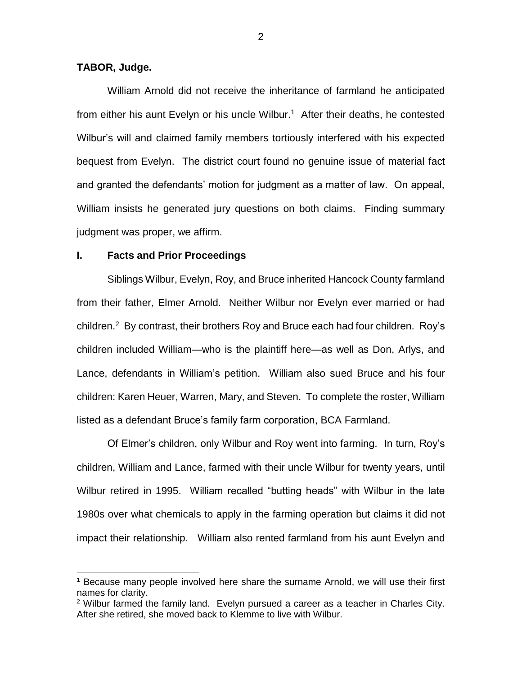# **TABOR, Judge.**

 $\overline{a}$ 

William Arnold did not receive the inheritance of farmland he anticipated from either his aunt Evelyn or his uncle Wilbur.<sup>1</sup> After their deaths, he contested Wilbur's will and claimed family members tortiously interfered with his expected bequest from Evelyn. The district court found no genuine issue of material fact and granted the defendants' motion for judgment as a matter of law. On appeal, William insists he generated jury questions on both claims. Finding summary judgment was proper, we affirm.

### **I. Facts and Prior Proceedings**

Siblings Wilbur, Evelyn, Roy, and Bruce inherited Hancock County farmland from their father, Elmer Arnold. Neither Wilbur nor Evelyn ever married or had children.<sup>2</sup> By contrast, their brothers Roy and Bruce each had four children. Roy's children included William—who is the plaintiff here—as well as Don, Arlys, and Lance, defendants in William's petition. William also sued Bruce and his four children: Karen Heuer, Warren, Mary, and Steven. To complete the roster, William listed as a defendant Bruce's family farm corporation, BCA Farmland.

Of Elmer's children, only Wilbur and Roy went into farming. In turn, Roy's children, William and Lance, farmed with their uncle Wilbur for twenty years, until Wilbur retired in 1995. William recalled "butting heads" with Wilbur in the late 1980s over what chemicals to apply in the farming operation but claims it did not impact their relationship. William also rented farmland from his aunt Evelyn and

<sup>1</sup> Because many people involved here share the surname Arnold, we will use their first names for clarity.

<sup>2</sup> Wilbur farmed the family land. Evelyn pursued a career as a teacher in Charles City. After she retired, she moved back to Klemme to live with Wilbur.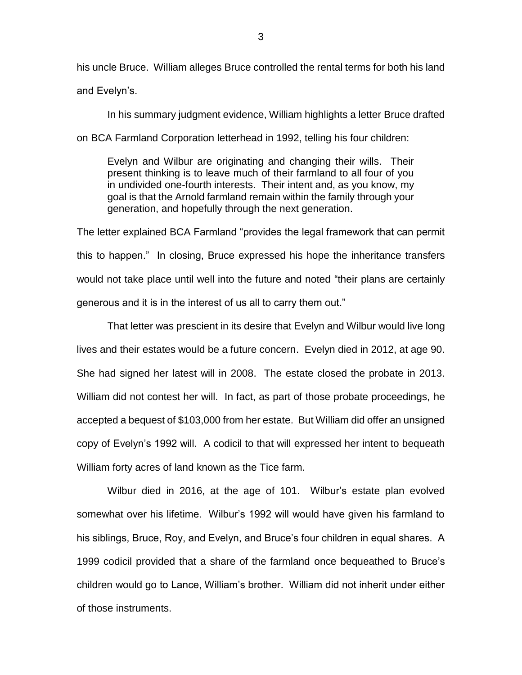his uncle Bruce. William alleges Bruce controlled the rental terms for both his land and Evelyn's.

In his summary judgment evidence, William highlights a letter Bruce drafted on BCA Farmland Corporation letterhead in 1992, telling his four children:

Evelyn and Wilbur are originating and changing their wills. Their present thinking is to leave much of their farmland to all four of you in undivided one-fourth interests. Their intent and, as you know, my goal is that the Arnold farmland remain within the family through your generation, and hopefully through the next generation.

The letter explained BCA Farmland "provides the legal framework that can permit this to happen." In closing, Bruce expressed his hope the inheritance transfers would not take place until well into the future and noted "their plans are certainly generous and it is in the interest of us all to carry them out."

That letter was prescient in its desire that Evelyn and Wilbur would live long lives and their estates would be a future concern. Evelyn died in 2012, at age 90. She had signed her latest will in 2008. The estate closed the probate in 2013. William did not contest her will. In fact, as part of those probate proceedings, he accepted a bequest of \$103,000 from her estate. But William did offer an unsigned copy of Evelyn's 1992 will. A codicil to that will expressed her intent to bequeath William forty acres of land known as the Tice farm.

Wilbur died in 2016, at the age of 101. Wilbur's estate plan evolved somewhat over his lifetime. Wilbur's 1992 will would have given his farmland to his siblings, Bruce, Roy, and Evelyn, and Bruce's four children in equal shares. A 1999 codicil provided that a share of the farmland once bequeathed to Bruce's children would go to Lance, William's brother. William did not inherit under either of those instruments.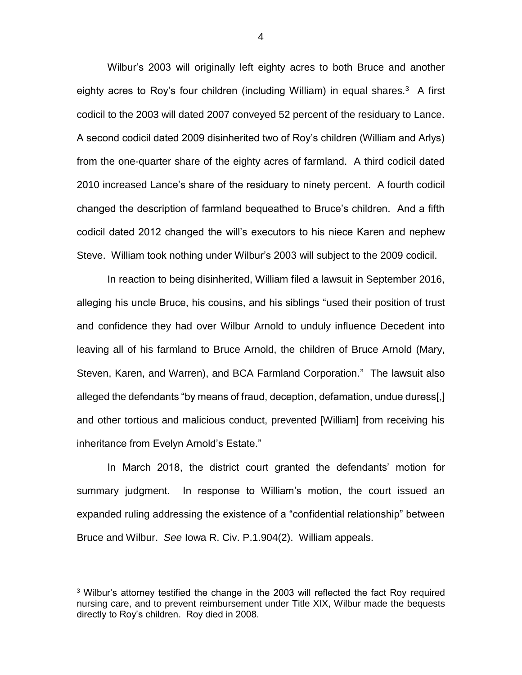Wilbur's 2003 will originally left eighty acres to both Bruce and another eighty acres to Roy's four children (including William) in equal shares.<sup>3</sup> A first codicil to the 2003 will dated 2007 conveyed 52 percent of the residuary to Lance. A second codicil dated 2009 disinherited two of Roy's children (William and Arlys) from the one-quarter share of the eighty acres of farmland. A third codicil dated 2010 increased Lance's share of the residuary to ninety percent. A fourth codicil changed the description of farmland bequeathed to Bruce's children. And a fifth codicil dated 2012 changed the will's executors to his niece Karen and nephew Steve. William took nothing under Wilbur's 2003 will subject to the 2009 codicil.

In reaction to being disinherited, William filed a lawsuit in September 2016, alleging his uncle Bruce, his cousins, and his siblings "used their position of trust and confidence they had over Wilbur Arnold to unduly influence Decedent into leaving all of his farmland to Bruce Arnold, the children of Bruce Arnold (Mary, Steven, Karen, and Warren), and BCA Farmland Corporation." The lawsuit also alleged the defendants "by means of fraud, deception, defamation, undue duress[,] and other tortious and malicious conduct, prevented [William] from receiving his inheritance from Evelyn Arnold's Estate."

In March 2018, the district court granted the defendants' motion for summary judgment. In response to William's motion, the court issued an expanded ruling addressing the existence of a "confidential relationship" between Bruce and Wilbur. *See* Iowa R. Civ. P.1.904(2). William appeals.

 $\overline{a}$ 

4

<sup>&</sup>lt;sup>3</sup> Wilbur's attorney testified the change in the 2003 will reflected the fact Roy required nursing care, and to prevent reimbursement under Title XIX, Wilbur made the bequests directly to Roy's children. Roy died in 2008.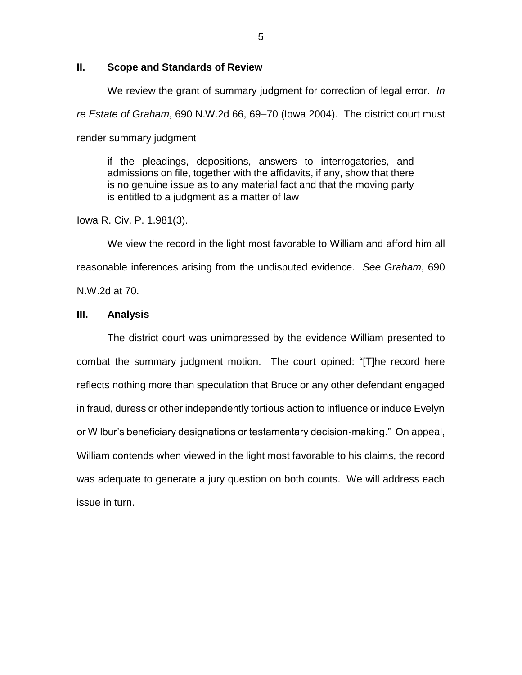## **II. Scope and Standards of Review**

We review the grant of summary judgment for correction of legal error. *In re Estate of Graham*, 690 N.W.2d 66, 69–70 (Iowa 2004). The district court must render summary judgment

if the pleadings, depositions, answers to interrogatories, and admissions on file, together with the affidavits, if any, show that there is no genuine issue as to any material fact and that the moving party is entitled to a judgment as a matter of law

Iowa R. Civ. P. 1.981(3).

We view the record in the light most favorable to William and afford him all reasonable inferences arising from the undisputed evidence. *See Graham*, 690 N.W.2d at 70.

## **III. Analysis**

The district court was unimpressed by the evidence William presented to combat the summary judgment motion. The court opined: "[T]he record here reflects nothing more than speculation that Bruce or any other defendant engaged in fraud, duress or other independently tortious action to influence or induce Evelyn or Wilbur's beneficiary designations or testamentary decision-making." On appeal, William contends when viewed in the light most favorable to his claims, the record was adequate to generate a jury question on both counts. We will address each issue in turn.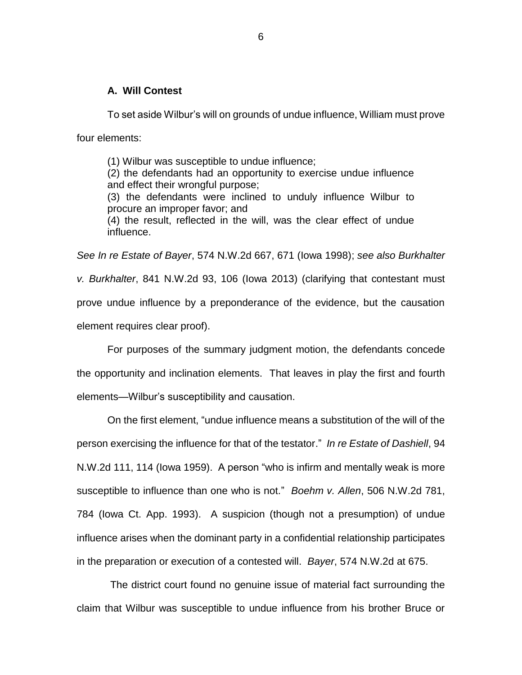## **A. Will Contest**

To set aside Wilbur's will on grounds of undue influence, William must prove four elements:

(1) Wilbur was susceptible to undue influence;

(2) the defendants had an opportunity to exercise undue influence and effect their wrongful purpose;

(3) the defendants were inclined to unduly influence Wilbur to procure an improper favor; and

(4) the result, reflected in the will, was the clear effect of undue influence.

*See In re Estate of Bayer*, 574 N.W.2d 667, 671 (Iowa 1998); *see also Burkhalter v. Burkhalter*, 841 N.W.2d 93, 106 (Iowa 2013) (clarifying that contestant must prove undue influence by a preponderance of the evidence, but the causation element requires clear proof).

For purposes of the summary judgment motion, the defendants concede the opportunity and inclination elements. That leaves in play the first and fourth elements—Wilbur's susceptibility and causation.

On the first element, "undue influence means a substitution of the will of the person exercising the influence for that of the testator." *In re Estate of Dashiell*, 94 N.W.2d 111, 114 (Iowa 1959). A person "who is infirm and mentally weak is more susceptible to influence than one who is not." *Boehm v. Allen*, 506 N.W.2d 781, 784 (Iowa Ct. App. 1993). A suspicion (though not a presumption) of undue influence arises when the dominant party in a confidential relationship participates in the preparation or execution of a contested will. *Bayer*, 574 N.W.2d at 675.

The district court found no genuine issue of material fact surrounding the claim that Wilbur was susceptible to undue influence from his brother Bruce or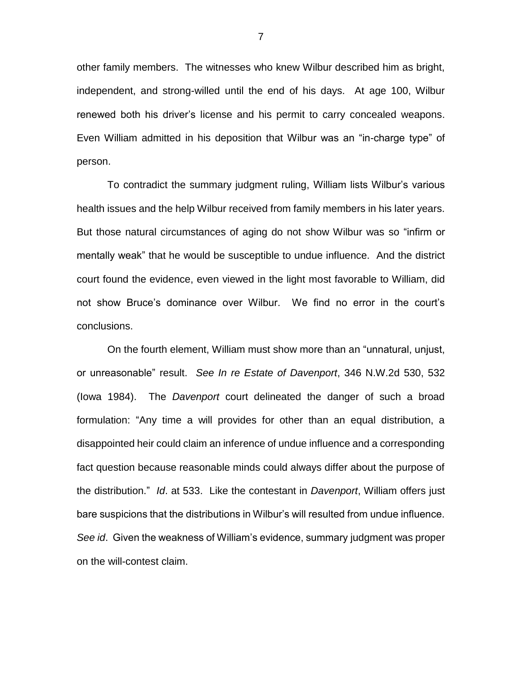other family members. The witnesses who knew Wilbur described him as bright, independent, and strong-willed until the end of his days. At age 100, Wilbur renewed both his driver's license and his permit to carry concealed weapons. Even William admitted in his deposition that Wilbur was an "in-charge type" of person.

To contradict the summary judgment ruling, William lists Wilbur's various health issues and the help Wilbur received from family members in his later years. But those natural circumstances of aging do not show Wilbur was so "infirm or mentally weak" that he would be susceptible to undue influence. And the district court found the evidence, even viewed in the light most favorable to William, did not show Bruce's dominance over Wilbur. We find no error in the court's conclusions.

On the fourth element, William must show more than an "unnatural, unjust, or unreasonable" result. *See In re Estate of Davenport*, 346 N.W.2d 530, 532 (Iowa 1984). The *Davenport* court delineated the danger of such a broad formulation: "Any time a will provides for other than an equal distribution, a disappointed heir could claim an inference of undue influence and a corresponding fact question because reasonable minds could always differ about the purpose of the distribution." *Id*. at 533. Like the contestant in *Davenport*, William offers just bare suspicions that the distributions in Wilbur's will resulted from undue influence. *See id*. Given the weakness of William's evidence, summary judgment was proper on the will-contest claim.

7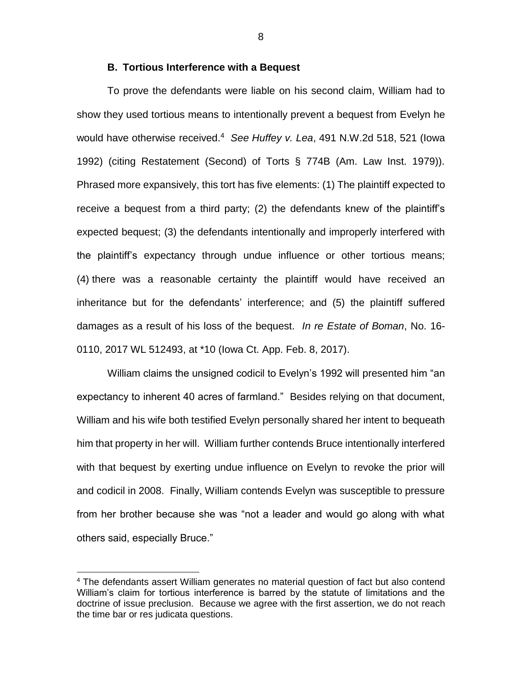#### **B. Tortious Interference with a Bequest**

To prove the defendants were liable on his second claim, William had to show they used tortious means to intentionally prevent a bequest from Evelyn he would have otherwise received. <sup>4</sup> *See Huffey v. Lea*, 491 N.W.2d 518, 521 (Iowa 1992) (citing Restatement (Second) of Torts § 774B (Am. Law Inst. 1979)). Phrased more expansively, this tort has five elements: (1) The plaintiff expected to receive a bequest from a third party; (2) the defendants knew of the plaintiff's expected bequest; (3) the defendants intentionally and improperly interfered with the plaintiff's expectancy through undue influence or other tortious means; (4) there was a reasonable certainty the plaintiff would have received an inheritance but for the defendants' interference; and (5) the plaintiff suffered damages as a result of his loss of the bequest. *In re Estate of Boman*, No. 16- 0110, 2017 WL 512493, at \*10 (Iowa Ct. App. Feb. 8, 2017).

William claims the unsigned codicil to Evelyn's 1992 will presented him "an expectancy to inherent 40 acres of farmland." Besides relying on that document, William and his wife both testified Evelyn personally shared her intent to bequeath him that property in her will. William further contends Bruce intentionally interfered with that bequest by exerting undue influence on Evelyn to revoke the prior will and codicil in 2008. Finally, William contends Evelyn was susceptible to pressure from her brother because she was "not a leader and would go along with what others said, especially Bruce."

 $\overline{a}$ 

8

<sup>&</sup>lt;sup>4</sup> The defendants assert William generates no material question of fact but also contend William's claim for tortious interference is barred by the statute of limitations and the doctrine of issue preclusion. Because we agree with the first assertion, we do not reach the time bar or res judicata questions.